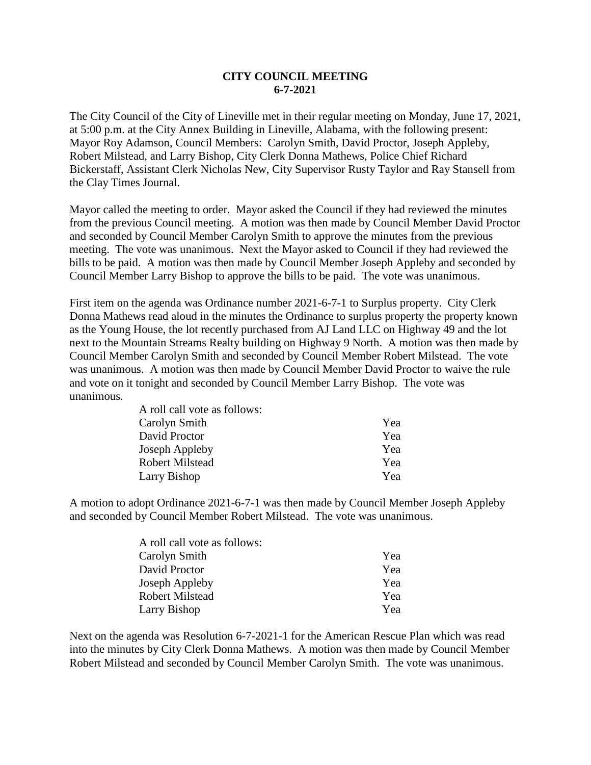## **CITY COUNCIL MEETING 6-7-2021**

The City Council of the City of Lineville met in their regular meeting on Monday, June 17, 2021, at 5:00 p.m. at the City Annex Building in Lineville, Alabama, with the following present: Mayor Roy Adamson, Council Members: Carolyn Smith, David Proctor, Joseph Appleby, Robert Milstead, and Larry Bishop, City Clerk Donna Mathews, Police Chief Richard Bickerstaff, Assistant Clerk Nicholas New, City Supervisor Rusty Taylor and Ray Stansell from the Clay Times Journal.

Mayor called the meeting to order. Mayor asked the Council if they had reviewed the minutes from the previous Council meeting. A motion was then made by Council Member David Proctor and seconded by Council Member Carolyn Smith to approve the minutes from the previous meeting. The vote was unanimous. Next the Mayor asked to Council if they had reviewed the bills to be paid. A motion was then made by Council Member Joseph Appleby and seconded by Council Member Larry Bishop to approve the bills to be paid. The vote was unanimous.

First item on the agenda was Ordinance number 2021-6-7-1 to Surplus property. City Clerk Donna Mathews read aloud in the minutes the Ordinance to surplus property the property known as the Young House, the lot recently purchased from AJ Land LLC on Highway 49 and the lot next to the Mountain Streams Realty building on Highway 9 North. A motion was then made by Council Member Carolyn Smith and seconded by Council Member Robert Milstead. The vote was unanimous. A motion was then made by Council Member David Proctor to waive the rule and vote on it tonight and seconded by Council Member Larry Bishop. The vote was unanimous.

| A roll call vote as follows: |     |
|------------------------------|-----|
| Carolyn Smith                | Yea |
| David Proctor                | Yea |
| Joseph Appleby               | Yea |
| <b>Robert Milstead</b>       | Yea |
| Larry Bishop                 | Yea |

A motion to adopt Ordinance 2021-6-7-1 was then made by Council Member Joseph Appleby and seconded by Council Member Robert Milstead. The vote was unanimous.

| A roll call vote as follows: |     |
|------------------------------|-----|
| Carolyn Smith                | Yea |
| David Proctor                | Yea |
| Joseph Appleby               | Yea |
| <b>Robert Milstead</b>       | Yea |
| Larry Bishop                 | Yea |

Next on the agenda was Resolution 6-7-2021-1 for the American Rescue Plan which was read into the minutes by City Clerk Donna Mathews. A motion was then made by Council Member Robert Milstead and seconded by Council Member Carolyn Smith. The vote was unanimous.